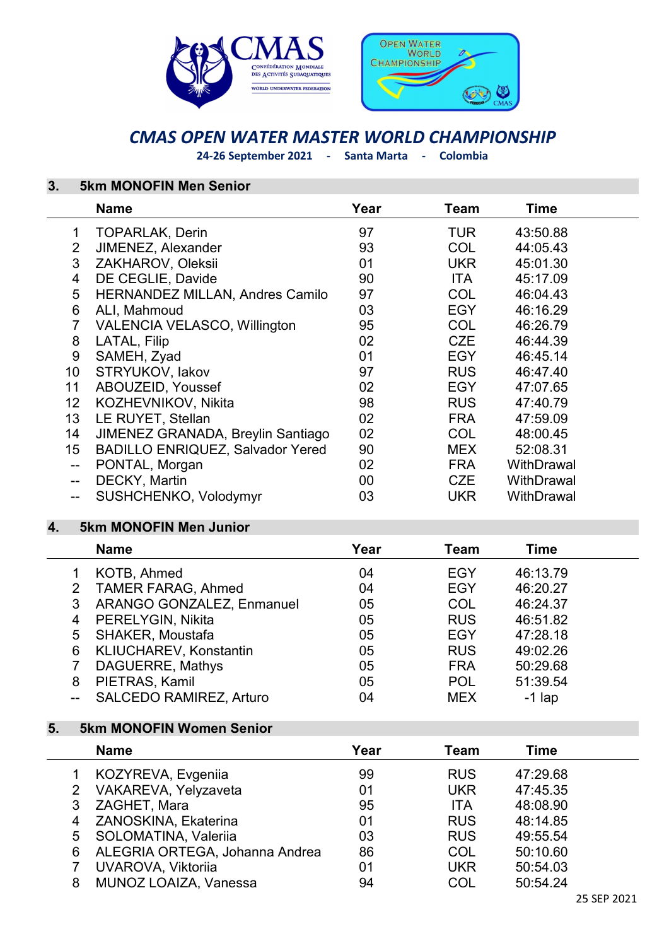



# CMAS OPEN WATER MASTER WORLD CHAMPIONSHIP

24-26 September 2021 - Santa Marta - Colombia

## 3. 5km MONOFIN Men Senior

|                          | <b>Name</b>                             | Year | Team       | Time       |  |
|--------------------------|-----------------------------------------|------|------------|------------|--|
| 1                        | <b>TOPARLAK, Derin</b>                  | 97   | TUR.       | 43:50.88   |  |
| $\overline{2}$           | JIMENEZ, Alexander                      | 93   | <b>COL</b> | 44:05.43   |  |
| 3                        | ZAKHAROV, Oleksii                       | 01   | <b>UKR</b> | 45:01.30   |  |
| 4                        | DE CEGLIE, Davide                       | 90   | <b>ITA</b> | 45:17.09   |  |
| 5                        | <b>HERNANDEZ MILLAN, Andres Camilo</b>  | 97   | <b>COL</b> | 46:04.43   |  |
| 6                        | ALI, Mahmoud                            | 03   | <b>EGY</b> | 46:16.29   |  |
| $\overline{7}$           | <b>VALENCIA VELASCO, Willington</b>     | 95   | <b>COL</b> | 46:26.79   |  |
| 8                        | LATAL, Filip                            | 02   | CZE        | 46:44.39   |  |
| 9                        | SAMEH, Zyad                             | 01   | <b>EGY</b> | 46:45.14   |  |
| 10                       | STRYUKOV, lakov                         | 97   | <b>RUS</b> | 46:47.40   |  |
| 11                       | ABOUZEID, Youssef                       | 02   | <b>EGY</b> | 47:07.65   |  |
| 12 <sub>2</sub>          | KOZHEVNIKOV, Nikita                     | 98   | <b>RUS</b> | 47:40.79   |  |
| 13 <sup>2</sup>          | LE RUYET, Stellan                       | 02   | <b>FRA</b> | 47:59.09   |  |
| 14                       | JIMENEZ GRANADA, Breylin Santiago       | 02   | <b>COL</b> | 48:00.45   |  |
| 15 <sub>1</sub>          | <b>BADILLO ENRIQUEZ, Salvador Yered</b> | 90   | <b>MEX</b> | 52:08.31   |  |
| $\overline{\phantom{m}}$ | PONTAL, Morgan                          | 02   | <b>FRA</b> | WithDrawal |  |
| $\overline{\phantom{a}}$ | DECKY, Martin                           | 00   | CZE        | WithDrawal |  |
| $\overline{\phantom{a}}$ | SUSHCHENKO, Volodymyr                   | 03   | <b>UKR</b> | WithDrawal |  |

### 4. 5km MONOFIN Men Junior

|                           | <b>Name</b>                      | Year | Team       | Time     |  |
|---------------------------|----------------------------------|------|------------|----------|--|
|                           | KOTB, Ahmed                      | 04   | <b>EGY</b> | 46:13.79 |  |
| $\mathbf{2}^{\mathsf{I}}$ | <b>TAMER FARAG, Ahmed</b>        | 04   | <b>EGY</b> | 46:20.27 |  |
| 3                         | <b>ARANGO GONZALEZ, Enmanuel</b> | 05   | COL        | 46:24.37 |  |
| 4                         | PERELYGIN, Nikita                | 05   | <b>RUS</b> | 46:51.82 |  |
| 5                         | <b>SHAKER, Moustafa</b>          | 05   | <b>EGY</b> | 47:28.18 |  |
| 6                         | <b>KLIUCHAREV, Konstantin</b>    | 05   | <b>RUS</b> | 49:02.26 |  |
|                           | DAGUERRE, Mathys                 | 05   | <b>FRA</b> | 50:29.68 |  |
| 8                         | PIETRAS, Kamil                   | 05   | <b>POL</b> | 51:39.54 |  |
|                           | <b>SALCEDO RAMIREZ, Arturo</b>   | 04   | <b>MEX</b> | $-1$ lap |  |

#### 5. 5km MONOFIN Women Senior

|   | <b>Name</b>                    | Year | Team       | Time     |  |
|---|--------------------------------|------|------------|----------|--|
|   | KOZYREVA, Evgeniia             | 99   | <b>RUS</b> | 47:29.68 |  |
|   | 2 VAKAREVA, Yelyzaveta         | 01   | <b>UKR</b> | 47:45.35 |  |
| 3 | ZAGHET, Mara                   | 95   | <b>ITA</b> | 48:08.90 |  |
|   | 4 ZANOSKINA, Ekaterina         | 01   | <b>RUS</b> | 48:14.85 |  |
|   | 5 SOLOMATINA, Valeriia         | 03   | <b>RUS</b> | 49:55.54 |  |
| 6 | ALEGRIA ORTEGA, Johanna Andrea | 86   | <b>COL</b> | 50:10.60 |  |
|   | UVAROVA, Viktoriia             | 01   | <b>UKR</b> | 50:54.03 |  |
| 8 | <b>MUNOZ LOAIZA, Vanessa</b>   | 94   | COL        | 50:54.24 |  |